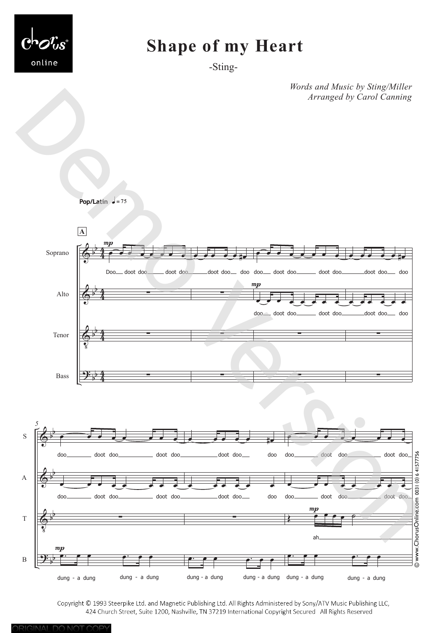

## **Shape of my Heart**

-Sting-

*Words and Music by Sting/Miller Arranged by Carol Canning*



Copyright © 1993 Steerpike Ltd. and Magnetic Publishing Ltd. All Rights Administered by Sony/ATV Music Publishing LLC, 424 Church Street, Suite 1200, Nashville, TN 37219 International Copyright Secured All Rights Reserved

ORIGINAL DO NOT COPY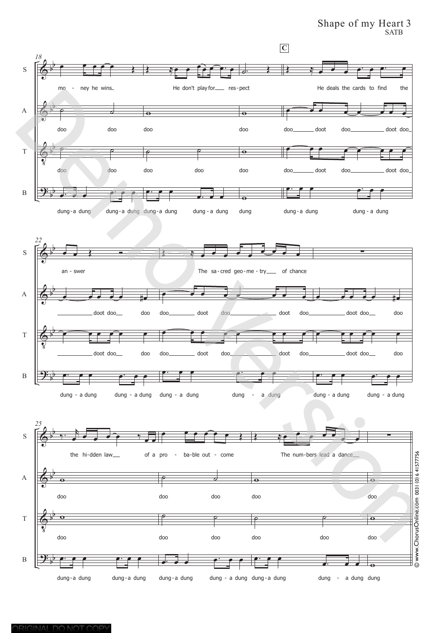Shape of my Heart 3

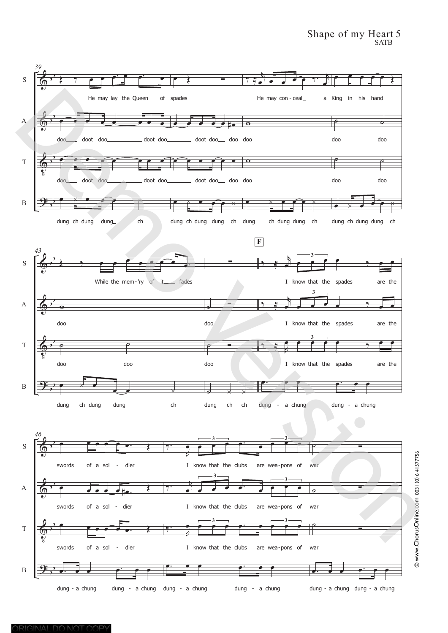## Shape of my Heart 5 SATB

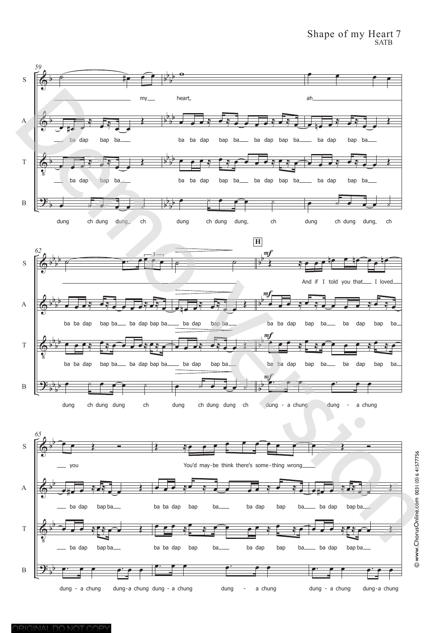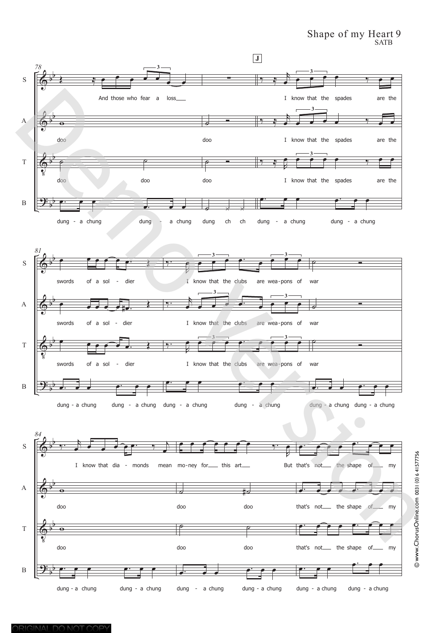## Shape of my Heart 9 SATB